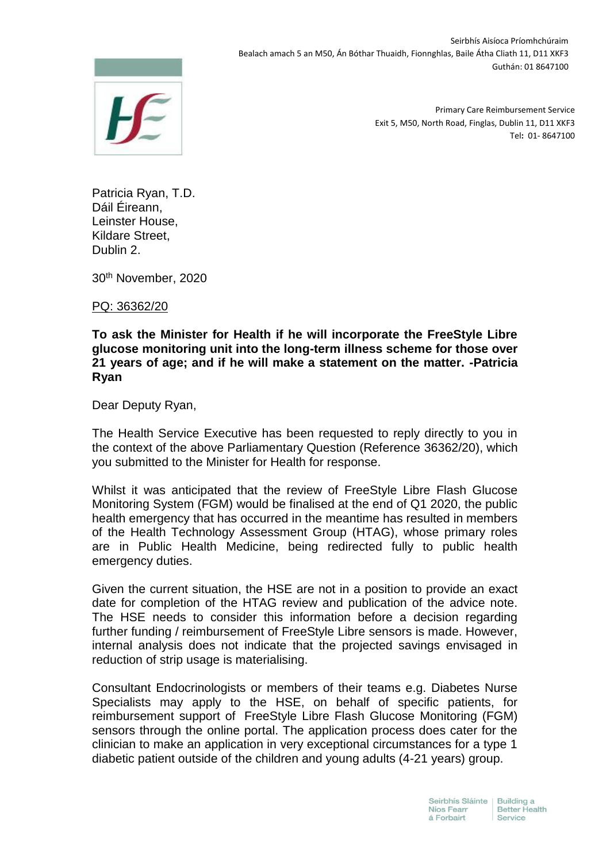

Seirbhís Aisíoca Príomhchúraim Bealach amach 5 an M50, Án Bóthar Thuaidh, Fionnghlas, Baile Átha Cliath 11, D11 XKF3 Guthán: 01 8647100

> Primary Care Reimbursement Service Exit 5, M50, North Road, Finglas, Dublin 11, D11 XKF3 Tel**:** 01- 8647100

Patricia Ryan, T.D. Dáil Éireann, Leinster House, Kildare Street, Dublin 2.

30th November, 2020

PQ: 36362/20

## **To ask the Minister for Health if he will incorporate the FreeStyle Libre glucose monitoring unit into the long-term illness scheme for those over 21 years of age; and if he will make a statement on the matter. -Patricia Ryan**

Dear Deputy Ryan,

The Health Service Executive has been requested to reply directly to you in the context of the above Parliamentary Question (Reference 36362/20), which you submitted to the Minister for Health for response.

Whilst it was anticipated that the review of FreeStyle Libre Flash Glucose Monitoring System (FGM) would be finalised at the end of Q1 2020, the public health emergency that has occurred in the meantime has resulted in members of the Health Technology Assessment Group (HTAG), whose primary roles are in Public Health Medicine, being redirected fully to public health emergency duties.

Given the current situation, the HSE are not in a position to provide an exact date for completion of the HTAG review and publication of the advice note. The HSE needs to consider this information before a decision regarding further funding / reimbursement of FreeStyle Libre sensors is made. However, internal analysis does not indicate that the projected savings envisaged in reduction of strip usage is materialising.

Consultant Endocrinologists or members of their teams e.g. Diabetes Nurse Specialists may apply to the HSE, on behalf of specific patients, for reimbursement support of FreeStyle Libre Flash Glucose Monitoring (FGM) sensors through the online portal. The application process does cater for the clinician to make an application in very exceptional circumstances for a type 1 diabetic patient outside of the children and young adults (4-21 years) group.